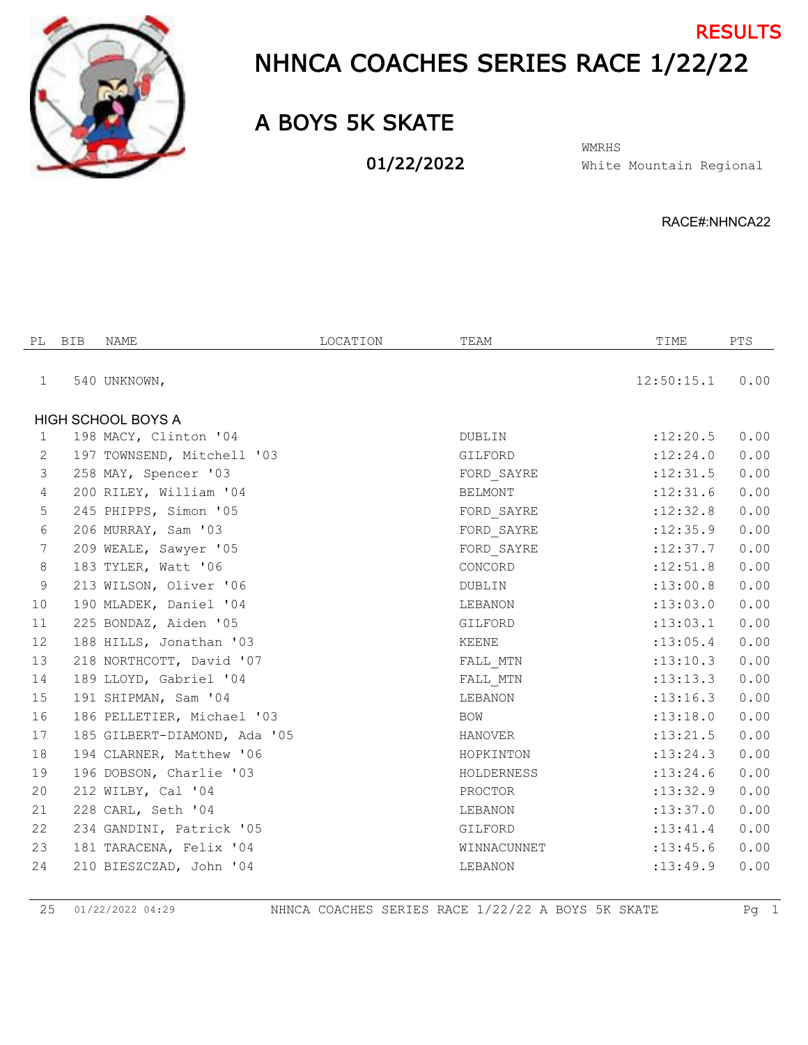

## NHNCA COACHES SERIES RACE 1/22/22 **RESULTS**

## A BOYS 5K SKATE

01/22/2022

White Mountain Regional WMRHS

RACE#:NHNCA22

| PL              | <b>BIB</b> | NAME                         | LOCATION | TEAM        | TIME       | PTS  |
|-----------------|------------|------------------------------|----------|-------------|------------|------|
| 1               |            | 540 UNKNOWN,                 |          |             | 12:50:15.1 | 0.00 |
|                 |            | <b>HIGH SCHOOL BOYS A</b>    |          |             |            |      |
| $\mathbf{1}$    |            | 198 MACY, Clinton '04        |          | DUBLIN      | :12:20.5   | 0.00 |
| 2               |            | 197 TOWNSEND, Mitchell '03   |          | GILFORD     | :12:24.0   | 0.00 |
| $\mathcal{S}$   |            | 258 MAY, Spencer '03         |          | FORD SAYRE  | :12:31.5   | 0.00 |
| $\overline{4}$  |            | 200 RILEY, William '04       |          | BELMONT     | :12:31.6   | 0.00 |
| 5               |            | 245 PHIPPS, Simon '05        |          | FORD SAYRE  | :12:32.8   | 0.00 |
| 6               |            | 206 MURRAY, Sam '03          |          | FORD SAYRE  | :12:35.9   | 0.00 |
| $7\phantom{.0}$ |            | 209 WEALE, Sawyer '05        |          | FORD SAYRE  | :12:37.7   | 0.00 |
| 8               |            | 183 TYLER, Watt '06          |          | CONCORD     | :12:51.8   | 0.00 |
| $\,9$           |            | 213 WILSON, Oliver '06       |          | DUBLIN      | :13:00.8   | 0.00 |
| 10              |            | 190 MLADEK, Daniel '04       |          | LEBANON     | :13:03.0   | 0.00 |
| 11              |            | 225 BONDAZ, Aiden '05        |          | GILFORD     | : 13: 03.1 | 0.00 |
| 12              |            | 188 HILLS, Jonathan '03      |          | KEENE       | : 13: 05.4 | 0.00 |
| 13              |            | 218 NORTHCOTT, David '07     |          | FALL MTN    | :13:10.3   | 0.00 |
| 14              |            | 189 LLOYD, Gabriel '04       |          | FALL MTN    | : 13: 13.3 | 0.00 |
| 15              |            | 191 SHIPMAN, Sam '04         |          | LEBANON     | : 13: 16.3 | 0.00 |
| 16              |            | 186 PELLETIER, Michael '03   |          | BOW         | :13:18.0   | 0.00 |
| 17              |            | 185 GILBERT-DIAMOND, Ada '05 |          | HANOVER     | : 13: 21.5 | 0.00 |
| 18              |            | 194 CLARNER, Matthew '06     |          | HOPKINTON   | : 13: 24.3 | 0.00 |
| 19              |            | 196 DOBSON, Charlie '03      |          | HOLDERNESS  | : 13: 24.6 | 0.00 |
| 20              |            | 212 WILBY, Cal '04           |          | PROCTOR     | : 13: 32.9 | 0.00 |
| 21              |            | 228 CARL, Seth '04           |          | LEBANON     | :13:37.0   | 0.00 |
| 22              |            | 234 GANDINI, Patrick '05     |          | GILFORD     | : 13: 41.4 | 0.00 |
| 23              |            | 181 TARACENA, Felix '04      |          | WINNACUNNET | : 13: 45.6 | 0.00 |
| 24              |            | 210 BIESZCZAD, John '04      |          | LEBANON     | :13:49.9   | 0.00 |
|                 |            |                              |          |             |            |      |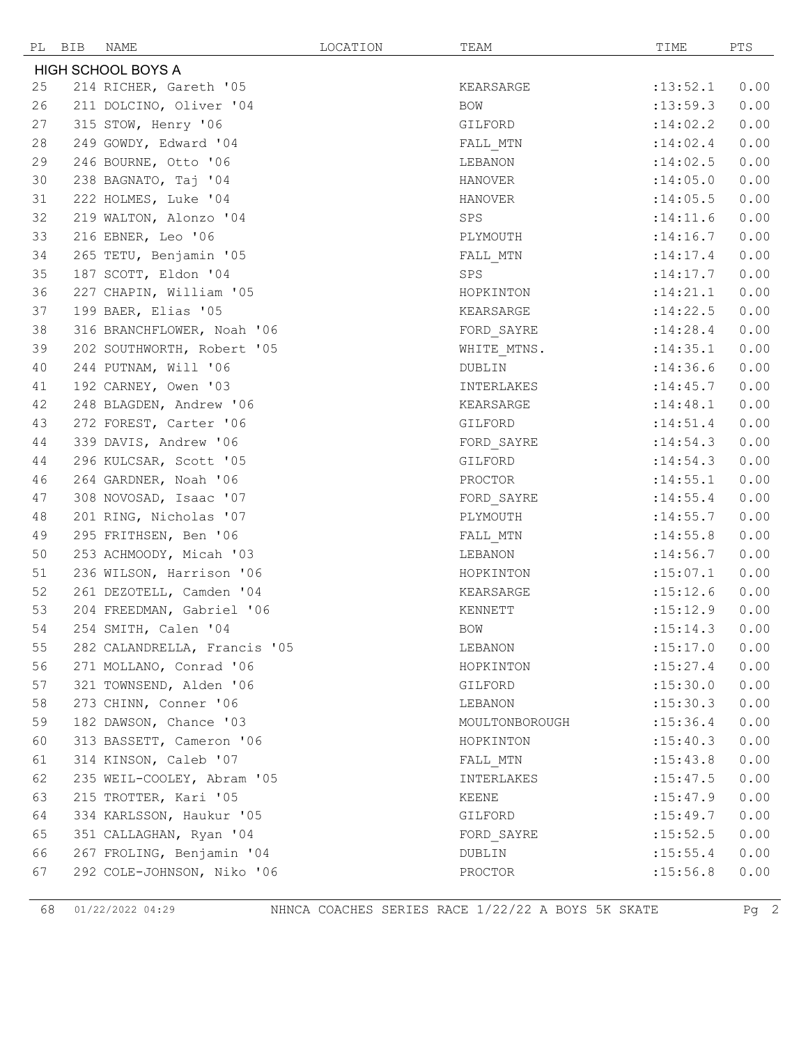|    | NAME<br>PL BIB               | LOCATION | TEAM           | TIME       | PTS  |
|----|------------------------------|----------|----------------|------------|------|
|    | <b>HIGH SCHOOL BOYS A</b>    |          |                |            |      |
| 25 | 214 RICHER, Gareth '05       |          | KEARSARGE      | : 13: 52.1 | 0.00 |
| 26 | 211 DOLCINO, Oliver '04      |          | BOW            | : 13: 59.3 | 0.00 |
| 27 | 315 STOW, Henry '06          |          | GILFORD        | : 14:02.2  | 0.00 |
| 28 | 249 GOWDY, Edward '04        |          | FALL MTN       | : 14:02.4  | 0.00 |
| 29 | 246 BOURNE, Otto '06         |          | LEBANON        | :14:02.5   | 0.00 |
| 30 | 238 BAGNATO, Taj '04         |          | HANOVER        | :14:05.0   | 0.00 |
| 31 | 222 HOLMES, Luke '04         |          | HANOVER        | :14:05.5   | 0.00 |
| 32 | 219 WALTON, Alonzo '04       |          | SPS            | : 14: 11.6 | 0.00 |
| 33 | 216 EBNER, Leo '06           |          | PLYMOUTH       | : 14:16.7  | 0.00 |
| 34 | 265 TETU, Benjamin '05       |          | FALL MTN       | : 14: 17.4 | 0.00 |
| 35 | 187 SCOTT, Eldon '04         |          | SPS            | : 14: 17.7 | 0.00 |
| 36 | 227 CHAPIN, William '05      |          | HOPKINTON      | : 14:21.1  | 0.00 |
| 37 | 199 BAER, Elias '05          |          | KEARSARGE      | : 14:22.5  | 0.00 |
| 38 | 316 BRANCHFLOWER, Noah '06   |          | FORD_SAYRE     | : 14:28.4  | 0.00 |
| 39 | 202 SOUTHWORTH, Robert '05   |          | WHITE MTNS.    | : 14:35.1  | 0.00 |
| 40 | 244 PUTNAM, Will '06         |          | DUBLIN         | : 14:36.6  | 0.00 |
| 41 | 192 CARNEY, Owen '03         |          | INTERLAKES     | : 14: 45.7 | 0.00 |
| 42 | 248 BLAGDEN, Andrew '06      |          | KEARSARGE      | : 14:48.1  | 0.00 |
| 43 | 272 FOREST, Carter '06       |          | GILFORD        | : 14:51.4  | 0.00 |
| 44 | 339 DAVIS, Andrew '06        |          | FORD_SAYRE     | : 14:54.3  | 0.00 |
| 44 | 296 KULCSAR, Scott '05       |          | GILFORD        | : 14:54.3  | 0.00 |
| 46 | 264 GARDNER, Noah '06        |          | PROCTOR        | : 14:55.1  | 0.00 |
| 47 | 308 NOVOSAD, Isaac '07       |          | FORD SAYRE     | : 14:55.4  | 0.00 |
| 48 | 201 RING, Nicholas '07       |          | PLYMOUTH       | : 14:55.7  | 0.00 |
| 49 | 295 FRITHSEN, Ben '06        |          | FALL MTN       | : 14:55.8  | 0.00 |
| 50 | 253 ACHMOODY, Micah '03      |          | LEBANON        | : 14:56.7  | 0.00 |
| 51 | 236 WILSON, Harrison '06     |          | HOPKINTON      | : 15:07.1  | 0.00 |
| 52 | 261 DEZOTELL, Camden '04     |          | KEARSARGE      | :15:12.6   | 0.00 |
| 53 | 204 FREEDMAN, Gabriel '06    |          | KENNETT        | :15:12.9   | 0.00 |
| 54 | 254 SMITH, Calen '04         |          | BOW            | : 15: 14.3 | 0.00 |
| 55 | 282 CALANDRELLA, Francis '05 |          | LEBANON        | :15:17.0   | 0.00 |
| 56 | 271 MOLLANO, Conrad '06      |          | HOPKINTON      | : 15: 27.4 | 0.00 |
| 57 | 321 TOWNSEND, Alden '06      |          | GILFORD        | :15:30.0   | 0.00 |
| 58 | 273 CHINN, Conner '06        |          | LEBANON        | : 15:30.3  | 0.00 |
| 59 | 182 DAWSON, Chance '03       |          | MOULTONBOROUGH | : 15:36.4  | 0.00 |
| 60 | 313 BASSETT, Cameron '06     |          | HOPKINTON      | : 15: 40.3 | 0.00 |
| 61 | 314 KINSON, Caleb '07        |          | FALL MTN       | : 15: 43.8 | 0.00 |
| 62 | 235 WEIL-COOLEY, Abram '05   |          | INTERLAKES     | : 15: 47.5 | 0.00 |
| 63 | 215 TROTTER, Kari '05        |          | KEENE          | : 15: 47.9 | 0.00 |
| 64 | 334 KARLSSON, Haukur '05     |          | GILFORD        | : 15: 49.7 | 0.00 |
| 65 | 351 CALLAGHAN, Ryan '04      |          | FORD SAYRE     | :15:52.5   | 0.00 |
| 66 | 267 FROLING, Benjamin '04    |          | DUBLIN         | : 15: 55.4 | 0.00 |
| 67 | 292 COLE-JOHNSON, Niko '06   |          | PROCTOR        | : 15:56.8  | 0.00 |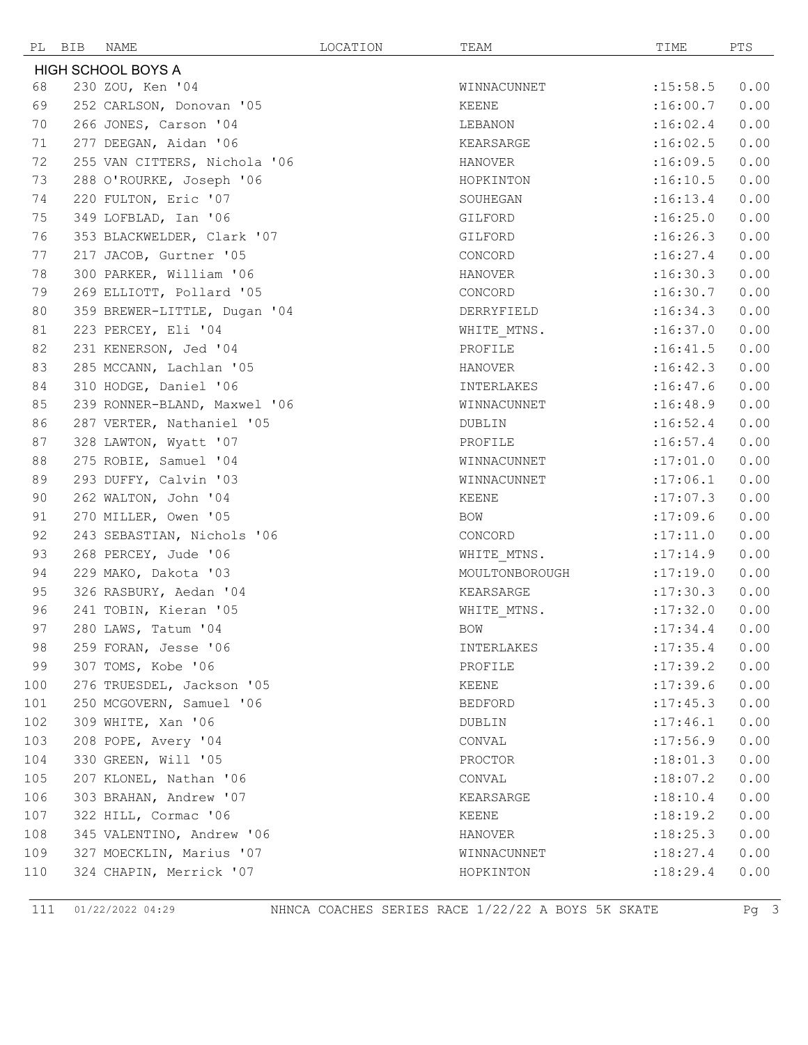| PL BIB                    |  | NAME                                           | LOCATION | TEAM           | TIME             | PTS          |
|---------------------------|--|------------------------------------------------|----------|----------------|------------------|--------------|
| <b>HIGH SCHOOL BOYS A</b> |  |                                                |          |                |                  |              |
| 68                        |  | 230 ZOU, Ken '04                               |          | WINNACUNNET    | : 15:58.5        | 0.00         |
| 69                        |  | 252 CARLSON, Donovan '05                       |          | KEENE          | :16:00.7         | 0.00         |
| 70                        |  | 266 JONES, Carson '04                          |          | LEBANON        | :16:02.4         | 0.00         |
| 71                        |  | 277 DEEGAN, Aidan '06                          |          | KEARSARGE      | :16:02.5         | 0.00         |
| 72                        |  | 255 VAN CITTERS, Nichola '06                   |          | HANOVER        | :16:09.5         | 0.00         |
| 73                        |  | 288 O'ROURKE, Joseph '06                       |          | HOPKINTON      | :16:10.5         | 0.00         |
| 74                        |  | 220 FULTON, Eric '07                           |          | SOUHEGAN       | :16:13.4         | 0.00         |
| 75                        |  | 349 LOFBLAD, Ian '06                           |          | GILFORD        | :16:25.0         | 0.00         |
| 76                        |  | 353 BLACKWELDER, Clark '07                     |          | GILFORD        | :16:26.3         | 0.00         |
| 77                        |  | 217 JACOB, Gurtner '05                         |          | CONCORD        | :16:27.4         | 0.00         |
| 78                        |  | 300 PARKER, William '06                        |          | HANOVER        | :16:30.3         | 0.00         |
| 79                        |  | 269 ELLIOTT, Pollard '05                       |          | CONCORD        | :16:30.7         | 0.00         |
| 80                        |  | 359 BREWER-LITTLE, Dugan '04                   |          | DERRYFIELD     | :16:34.3         | 0.00         |
| 81                        |  | 223 PERCEY, Eli '04                            |          | WHITE MTNS.    | :16:37.0         | 0.00         |
| 82                        |  | 231 KENERSON, Jed '04                          |          | PROFILE        | :16:41.5         | 0.00         |
| 83                        |  | 285 MCCANN, Lachlan '05                        |          | HANOVER        | :16:42.3         | 0.00         |
| 84                        |  | 310 HODGE, Daniel '06                          |          | INTERLAKES     | :16:47.6         | 0.00         |
| 85                        |  | 239 RONNER-BLAND, Maxwel '06                   |          | WINNACUNNET    | :16:48.9         | 0.00         |
| 86                        |  | 287 VERTER, Nathaniel '05                      |          | DUBLIN         | :16:52.4         | 0.00         |
| 87                        |  | 328 LAWTON, Wyatt '07                          |          | PROFILE        | :16:57.4         | 0.00         |
| 88                        |  | 275 ROBIE, Samuel '04                          |          | WINNACUNNET    | :17:01.0         | 0.00         |
| 89                        |  | 293 DUFFY, Calvin '03                          |          | WINNACUNNET    | :17:06.1         | 0.00         |
| 90                        |  | 262 WALTON, John '04                           |          | KEENE          | :17:07.3         | 0.00         |
| 91                        |  | 270 MILLER, Owen '05                           |          | BOW            | :17:09.6         | 0.00         |
| 92                        |  | 243 SEBASTIAN, Nichols '06                     |          | CONCORD        | :17:11.0         | 0.00         |
| 93                        |  | 268 PERCEY, Jude '06                           |          | WHITE MTNS.    | : 17:14.9        | 0.00         |
| 94                        |  | 229 MAKO, Dakota '03                           |          | MOULTONBOROUGH | :17:19.0         | 0.00         |
| 95                        |  | 326 RASBURY, Aedan '04                         |          | KEARSARGE      | :17:30.3         | 0.00         |
| 96                        |  | 241 TOBIN, Kieran '05                          |          | WHITE MTNS.    | :17:32.0         | 0.00         |
| 97                        |  | 280 LAWS, Tatum '04                            |          | BOW            | $: 17:34.4$ 0.00 |              |
| 98                        |  | 259 FORAN, Jesse '06                           |          | INTERLAKES     | : 17: 35.4       | 0.00         |
| 99                        |  | 307 TOMS, Kobe '06                             |          | PROFILE        | :17:39.2         | 0.00         |
| 100                       |  | 276 TRUESDEL, Jackson '05                      |          | KEENE          | :17:39.6         | 0.00         |
| 101                       |  | 250 MCGOVERN, Samuel '06                       |          | BEDFORD        | : 17: 45.3       | 0.00         |
| 102                       |  | 309 WHITE, Xan '06                             |          | DUBLIN         | : 17:46.1        | 0.00         |
| 103                       |  | 208 POPE, Avery '04                            |          | CONVAL         | :17:56.9         | 0.00         |
| 104                       |  | 330 GREEN, Will '05                            |          | PROCTOR        | :18:01.3         | 0.00         |
| 105                       |  | 207 KLONEL, Nathan '06                         |          | CONVAL         | :18:07.2         | 0.00         |
| 106<br>107                |  | 303 BRAHAN, Andrew '07<br>322 HILL, Cormac '06 |          | KEARSARGE      | :18:10.4         | 0.00         |
| 108                       |  | 345 VALENTINO, Andrew '06                      |          | KEENE          | :18:19.2         | 0.00         |
| 109                       |  | 327 MOECKLIN, Marius '07                       |          | HANOVER        | :18:25.3         | 0.00<br>0.00 |
|                           |  |                                                |          | WINNACUNNET    | :18:27.4         |              |
| 110                       |  | 324 CHAPIN, Merrick '07                        |          | HOPKINTON      | :18:29.4         | 0.00         |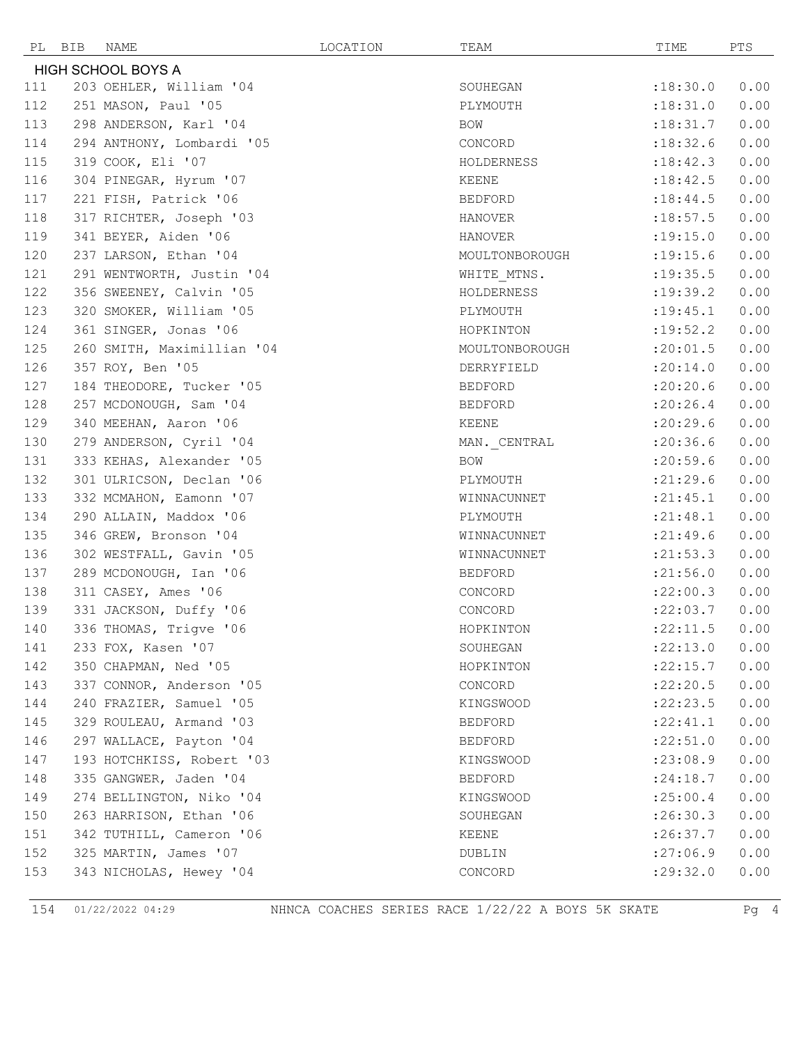|                           | PL BIB | NAME                       | LOCATION | TEAM           | TIME            | PTS  |
|---------------------------|--------|----------------------------|----------|----------------|-----------------|------|
| <b>HIGH SCHOOL BOYS A</b> |        |                            |          |                |                 |      |
| 111                       |        | 203 OEHLER, William '04    |          | SOUHEGAN       | :18:30.0        | 0.00 |
| 112                       |        | 251 MASON, Paul '05        |          | PLYMOUTH       | :18:31.0        | 0.00 |
| 113                       |        | 298 ANDERSON, Karl '04     |          | BOW            | :18:31.7        | 0.00 |
| 114                       |        | 294 ANTHONY, Lombardi '05  |          | CONCORD        | :18:32.6        | 0.00 |
| 115                       |        | 319 COOK, Eli '07          |          | HOLDERNESS     | :18:42.3        | 0.00 |
| 116                       |        | 304 PINEGAR, Hyrum '07     |          | KEENE          | :18:42.5        | 0.00 |
| 117                       |        | 221 FISH, Patrick '06      |          | <b>BEDFORD</b> | : 18: 44.5      | 0.00 |
| 118                       |        | 317 RICHTER, Joseph '03    |          | HANOVER        | :18:57.5        | 0.00 |
| 119                       |        | 341 BEYER, Aiden '06       |          | <b>HANOVER</b> | :19:15.0        | 0.00 |
| 120                       |        | 237 LARSON, Ethan '04      |          | MOULTONBOROUGH | : 19: 15.6      | 0.00 |
| 121                       |        | 291 WENTWORTH, Justin '04  |          | WHITE MTNS.    | : 19: 35.5      | 0.00 |
| 122                       |        | 356 SWEENEY, Calvin '05    |          | HOLDERNESS     | :19:39.2        | 0.00 |
| 123                       |        | 320 SMOKER, William '05    |          | PLYMOUTH       | : 19: 45.1      | 0.00 |
| 124                       |        | 361 SINGER, Jonas '06      |          | HOPKINTON      | : 19:52.2       | 0.00 |
| 125                       |        | 260 SMITH, Maximillian '04 |          | MOULTONBOROUGH | :20:01.5        | 0.00 |
| 126                       |        | 357 ROY, Ben '05           |          | DERRYFIELD     | :20:14.0        | 0.00 |
| 127                       |        | 184 THEODORE, Tucker '05   |          | BEDFORD        | :20:20.6        | 0.00 |
| 128                       |        | 257 MCDONOUGH, Sam '04     |          | BEDFORD        | : 20:26.4       | 0.00 |
| 129                       |        | 340 MEEHAN, Aaron '06      |          | KEENE          | :20:29.6        | 0.00 |
| 130                       |        | 279 ANDERSON, Cyril '04    |          | MAN. CENTRAL   | : 20:36.6       | 0.00 |
| 131                       |        | 333 KEHAS, Alexander '05   |          | BOW            | : 20:59.6       | 0.00 |
| 132                       |        | 301 ULRICSON, Declan '06   |          | PLYMOUTH       | : 21: 29.6      | 0.00 |
| 133                       |        | 332 MCMAHON, Eamonn '07    |          | WINNACUNNET    | : 21: 45.1      | 0.00 |
| 134                       |        | 290 ALLAIN, Maddox '06     |          | PLYMOUTH       | : 21: 48.1      | 0.00 |
| 135                       |        | 346 GREW, Bronson '04      |          | WINNACUNNET    | : 21: 49.6      | 0.00 |
| 136                       |        | 302 WESTFALL, Gavin '05    |          | WINNACUNNET    | : 21: 53.3      | 0.00 |
| 137                       |        | 289 MCDONOUGH, Ian '06     |          | BEDFORD        | : 21:56.0       | 0.00 |
| 138                       |        | 311 CASEY, Ames '06        |          | CONCORD        | :22:00.3        | 0.00 |
| 139                       |        | 331 JACKSON, Duffy '06     |          | CONCORD        | : 22:03.7       | 0.00 |
| 140                       |        | 336 THOMAS, Trigve '06     |          | HOPKINTON      | $:22:11.5$ 0.00 |      |
| 141                       |        | 233 FOX, Kasen '07         |          | SOUHEGAN       | :22:13.0        | 0.00 |
| 142                       |        | 350 CHAPMAN, Ned '05       |          | HOPKINTON      | : 22: 15.7      | 0.00 |
| 143                       |        | 337 CONNOR, Anderson '05   |          | CONCORD        | : 22: 20.5      | 0.00 |
| 144                       |        | 240 FRAZIER, Samuel '05    |          | KINGSWOOD      | :22:23.5        | 0.00 |
| 145                       |        | 329 ROULEAU, Armand '03    |          | BEDFORD        | : 22: 41.1      | 0.00 |
| 146                       |        | 297 WALLACE, Payton '04    |          | BEDFORD        | :22:51.0        | 0.00 |
| 147                       |        | 193 HOTCHKISS, Robert '03  |          | KINGSWOOD      | : 23:08.9       | 0.00 |
| 148                       |        | 335 GANGWER, Jaden '04     |          | <b>BEDFORD</b> | : 24:18.7       | 0.00 |
| 149                       |        | 274 BELLINGTON, Niko '04   |          | KINGSWOOD      | : 25:00.4       | 0.00 |
| 150                       |        | 263 HARRISON, Ethan '06    |          | SOUHEGAN       | :26:30.3        | 0.00 |
| 151                       |        | 342 TUTHILL, Cameron '06   |          | KEENE          | :26:37.7        | 0.00 |
| 152                       |        | 325 MARTIN, James '07      |          | DUBLIN         | :27:06.9        | 0.00 |
| 153                       |        | 343 NICHOLAS, Hewey '04    |          | CONCORD        | : 29:32.0       | 0.00 |